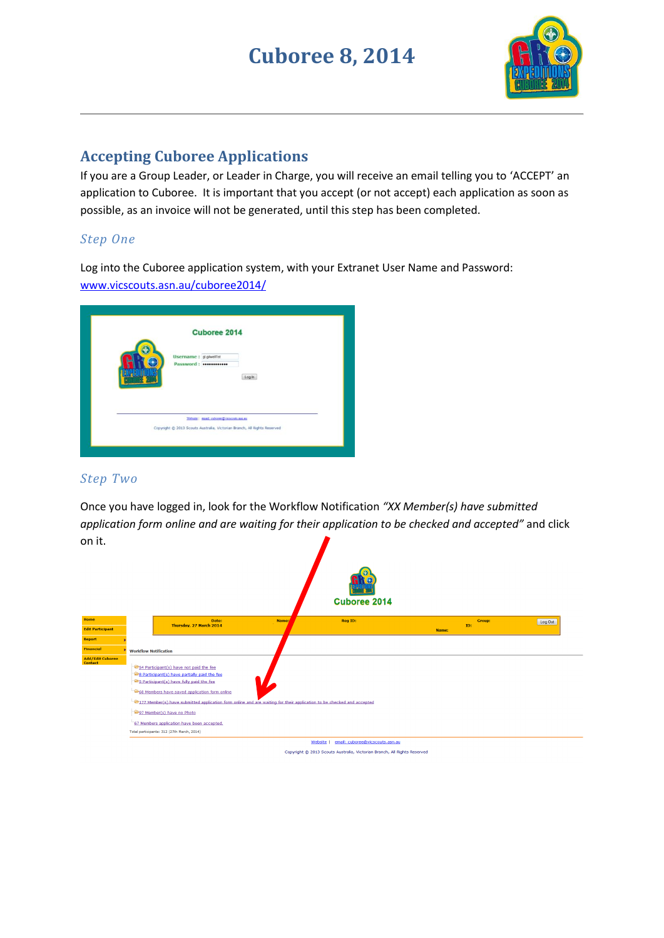## **Cuboree 8, 2014**



## **Accepting Cuboree Applications**

If you are a Group Leader, or Leader in Charge, you will receive an email telling you to 'ACCEPT' an application to Cuboree. It is important that you accept (or not accept) each application as soon as possible, as an invoice will not be generated, until this step has been completed.

#### *Step One*

Log into the Cuboree application system, with your Extranet User Name and Password: [www.vicscouts.asn.au/cuboree2014/](http://www.vicscouts.asn.au/cuboree2014/)

| <b>Cuboree 2014</b><br>Username : gigiwellst<br>Password:                                                            |       |  |
|----------------------------------------------------------------------------------------------------------------------|-------|--|
|                                                                                                                      | Login |  |
| Website   mail: cabcree@vicacosts.asn.as<br>Copyright @ 2013 Scouts Australia, Victorian Branch, All Rights Reserved |       |  |

#### *Step Two*

Once you have logged in, look for the Workflow Notification *"XX Member(s) have submitted application form online and are waiting for their application to be checked and accepted"* and click on it.

| .                                  |                              |                                                                                                                                                                                                                                                                                                                                                                                                                                         |       | <b>Cuboree 2014</b>                       |       |                      |         |
|------------------------------------|------------------------------|-----------------------------------------------------------------------------------------------------------------------------------------------------------------------------------------------------------------------------------------------------------------------------------------------------------------------------------------------------------------------------------------------------------------------------------------|-------|-------------------------------------------|-------|----------------------|---------|
| Home                               |                              | Date:<br>Thursday, 27 March 2014                                                                                                                                                                                                                                                                                                                                                                                                        | Name: | <b>Reg ID:</b>                            |       | <b>Group:</b><br>ID: | Log Out |
| <b>Edit Participant</b>            |                              |                                                                                                                                                                                                                                                                                                                                                                                                                                         |       |                                           | Name: |                      |         |
| Report                             |                              |                                                                                                                                                                                                                                                                                                                                                                                                                                         |       |                                           |       |                      |         |
| <b>Financial</b>                   | <b>Workflow Notification</b> |                                                                                                                                                                                                                                                                                                                                                                                                                                         |       |                                           |       |                      |         |
| <b>Add/Edit Cuboree</b><br>Contact |                              | 54 Participant(s) have not paid the fee<br>8 Participant(s) have partially paid the fee<br>S Participant(s) have fully paid the fee<br>68 Members have saved application form online<br>177 Member(s) have submitted application form online and are waiting for their application to be checked and accepted<br>97 Member(s) have no Photo<br>67 Members application have been accepted.<br>Total participants: 312 (27th March, 2014) |       |                                           |       |                      |         |
|                                    |                              |                                                                                                                                                                                                                                                                                                                                                                                                                                         |       | Website   email: cuboree@vicscouts.asn.au |       |                      |         |

Copyright @ 2013 Scouts Australia, Victorian Branch, All Rights Reserved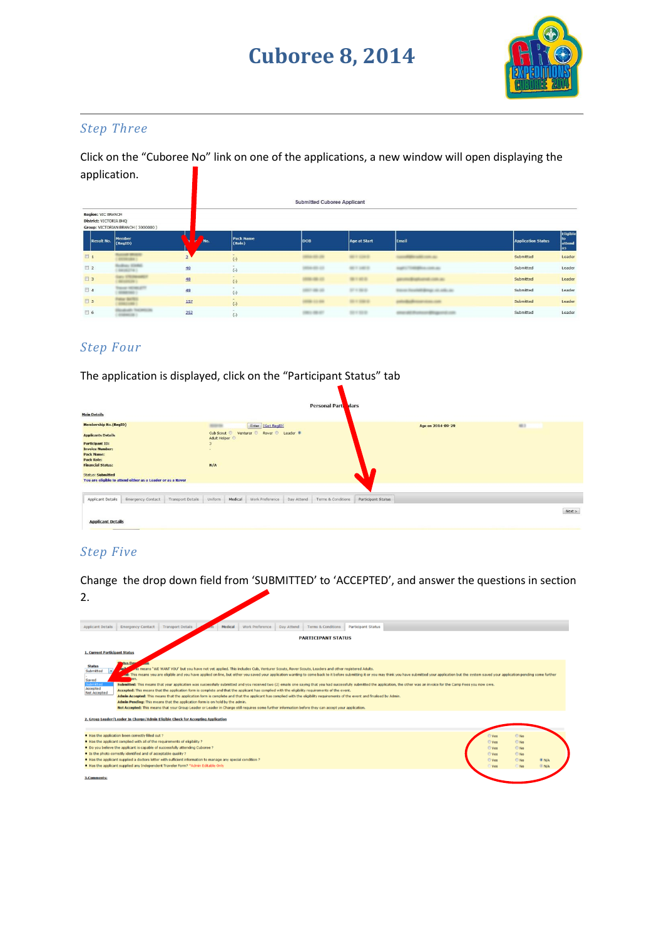## **Cuboree 8, 2014**



#### *Step Three*

Click on the "Cuboree No" link on one of the applications, a new window will open displaying the application.

|                                                            |                                   |     |                     | <b>Submitted Cuboree Applicant</b> |                |                            |                           |                                       |
|------------------------------------------------------------|-----------------------------------|-----|---------------------|------------------------------------|----------------|----------------------------|---------------------------|---------------------------------------|
| <b>Region: VIC BRANCH</b><br><b>District: VICTORIA BHQ</b> | Group: VICTORIAN BRANCH (3000000) |     |                     |                                    |                |                            |                           |                                       |
| <b>Result No.</b>                                          | <b>Member</b><br>(RegID)          | Mo. | Pack Name<br>(Role) | <b>DOB</b>                         | Age at Start   | Email                      | <b>Application Status</b> | <b>Eligible</b><br>to<br>attend<br>as |
| $\Box$ 1                                                   |                                   |     | $(-)$               |                                    |                |                            | Submitted                 | Leader                                |
| 2                                                          |                                   | 40  | $(-)$               |                                    |                |                            | Submitted                 | Leader                                |
| 13                                                         |                                   | 48  | ۰<br>$(\cdot)$      |                                    | <b>MIT MES</b> | <b>CONTRACTOR</b>          | Submitted                 | Leader                                |
| $\Box$ 4                                                   |                                   | 49  | $(\text{-})$        |                                    | $17 - 240 = 0$ | <b>SERVICE ART AND ART</b> | Submitted                 | Leader                                |
| 5                                                          |                                   | 157 | $\sim$<br>$(-)$     |                                    | $-1.001$       |                            | Submitted                 | Leader                                |
| 6                                                          |                                   | 252 | $(-)$               |                                    | $-1 - 1 - 1$   | <b>CONTRACTOR</b>          | Submitted                 | Leader                                |

#### *Step Four*

The application is displayed, click on the "Participant Status" tab

|                                                  |                                                             |                   |                                            |         |                                     |            | <b>Personal Part</b><br><b>Nars</b> |                    |                   |      |      |
|--------------------------------------------------|-------------------------------------------------------------|-------------------|--------------------------------------------|---------|-------------------------------------|------------|-------------------------------------|--------------------|-------------------|------|------|
| <b>Main Details</b>                              |                                                             |                   |                                            |         |                                     |            |                                     |                    |                   |      |      |
| <b>Membership No.(RegID)</b>                     |                                                             |                   | <b>MONTHS</b>                              |         | Enter [Get RegID]                   |            |                                     |                    | Age on 2014-09-29 | 48.5 |      |
| <b>Applicants Details</b>                        |                                                             |                   | Adult Helper                               |         | Cub Scout Venturer & Rover & Leader |            |                                     |                    |                   |      |      |
| <b>Participant ID:</b><br><b>Invoice Number:</b> |                                                             |                   | $\overline{3}$<br>$\overline{\phantom{a}}$ |         |                                     |            |                                     |                    |                   |      |      |
| <b>Pack Name:</b><br><b>Pack Role:</b>           |                                                             |                   |                                            |         |                                     |            |                                     |                    |                   |      |      |
| <b>Financial Status:</b>                         |                                                             |                   | N/A                                        |         |                                     |            |                                     |                    |                   |      |      |
| <b>Status: Submitted</b>                         | You are eligible to attend either as a Leader or as a Rover |                   |                                            |         |                                     |            |                                     |                    |                   |      |      |
|                                                  |                                                             |                   |                                            |         |                                     |            |                                     |                    |                   |      |      |
| Applicant Details                                | Emergency Contact                                           | Transport Details | Uniform                                    | Medical | Work Preference                     | Day Attend | Terms & Conditions                  | Participant Status |                   |      |      |
|                                                  |                                                             |                   |                                            |         |                                     |            |                                     |                    |                   |      | Next |
| <b>Applicant Details</b>                         |                                                             |                   |                                            |         |                                     |            |                                     |                    |                   |      |      |

### *Step Five*

Change the drop down field from 'SUBMITTED' to 'ACCEPTED', and answer the questions in section 2.

| <b>Transport Details</b><br>Work Preference Day Attend<br><b>Emergency Contact</b><br>Medical<br><b>Terms &amp; Conditions</b><br><b>Applicant Details</b><br><b>Participant Status</b>                                                                                                                                                                                                                                                                                                                                                                                                                                                                                                                                                                                                                                                                                                                                                                                                                                                                                                                                                                                                                                                                                             |                                                                                                                                                     |  |  |  |  |  |  |  |
|-------------------------------------------------------------------------------------------------------------------------------------------------------------------------------------------------------------------------------------------------------------------------------------------------------------------------------------------------------------------------------------------------------------------------------------------------------------------------------------------------------------------------------------------------------------------------------------------------------------------------------------------------------------------------------------------------------------------------------------------------------------------------------------------------------------------------------------------------------------------------------------------------------------------------------------------------------------------------------------------------------------------------------------------------------------------------------------------------------------------------------------------------------------------------------------------------------------------------------------------------------------------------------------|-----------------------------------------------------------------------------------------------------------------------------------------------------|--|--|--|--|--|--|--|
| <b>PARTICIPANT STATUS</b>                                                                                                                                                                                                                                                                                                                                                                                                                                                                                                                                                                                                                                                                                                                                                                                                                                                                                                                                                                                                                                                                                                                                                                                                                                                           |                                                                                                                                                     |  |  |  |  |  |  |  |
| <b>1. Current Participant Status</b>                                                                                                                                                                                                                                                                                                                                                                                                                                                                                                                                                                                                                                                                                                                                                                                                                                                                                                                                                                                                                                                                                                                                                                                                                                                |                                                                                                                                                     |  |  |  |  |  |  |  |
| tus Des<br><b>Status</b><br>in means "WE WANT YOU" but you have not yet applied. This includes Cub, Venturer Scouts, Rover Scouts, Leaders and other registered Adults.<br>Submitted<br>cal: This means you are eligible and you have applied on line, but either you saved your application wanting to come back to it before submitting it or you may think you have submitted your application but the system saved<br>Saved<br>Submitted<br>Submitted: This means that your application was successfully submitted and you received two (2) emails one saying that you had successfully submitted the application, the other was an invoice for the Camp Fees you now owe.<br>Accepted<br>Accepted: This means that the application form is complete and that the applicant has complied with the eligibility requirements of the event.<br>Not Accepted<br>Admin Accepted: This means that the application form is complete and that the applicant has complied with the eligibility requirements of the event and finalised by Admin.<br>Admin Pending: This means that the application form is on hold by the admin.<br>Not Accepted: This means that your Group Leader or Leader in Charge still requires some further information before they can accept your application. |                                                                                                                                                     |  |  |  |  |  |  |  |
| 2. Group Leader/Leader In Charge/Admin Eligible Check for Accepting Application                                                                                                                                                                                                                                                                                                                                                                                                                                                                                                                                                                                                                                                                                                                                                                                                                                                                                                                                                                                                                                                                                                                                                                                                     |                                                                                                                                                     |  |  |  |  |  |  |  |
| . Has the application been correctly filled out ?<br>. Has the applicant complied with all of the requirements of eligibility ?<br>. Do you believe the applicant is capable of successfully attending Cuboree ?<br>. Is the photo correctly identified and of acceptable quality ?<br>. Has the applicant supplied a doctors letter with sufficient information to manage any special condition ?<br>. Has the applicant supplied any Independent Traveler Form? "Admin Editable Only                                                                                                                                                                                                                                                                                                                                                                                                                                                                                                                                                                                                                                                                                                                                                                                              | $@$ No<br>O Yes<br>$@$ No<br>O Yes<br>$@$ No<br>C Yes<br>$O$ Yes<br>$@$ No<br>O Yes<br>© No.<br><b>ONA</b><br><b>ON/A</b><br>○ Yes<br>$\bigcirc$ No |  |  |  |  |  |  |  |
| 3.Comments:                                                                                                                                                                                                                                                                                                                                                                                                                                                                                                                                                                                                                                                                                                                                                                                                                                                                                                                                                                                                                                                                                                                                                                                                                                                                         |                                                                                                                                                     |  |  |  |  |  |  |  |